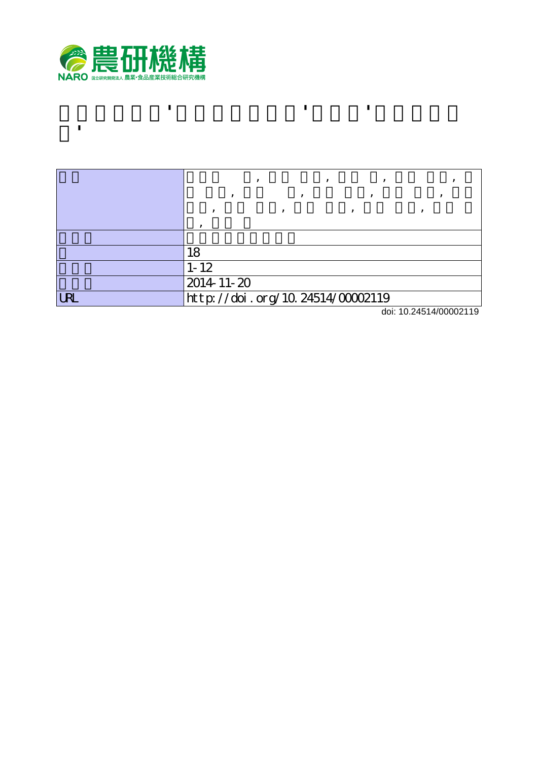

**ト'**

|            | 18                                    |
|------------|---------------------------------------|
|            | $1 - 12$                              |
|            | 2014-11-20                            |
| <b>LRL</b> | http://doi.org/10.24514/00002119<br>. |

**アンズ新品種'おひさまコット'および'ニコニコッ**

doi: 10.24514/00002119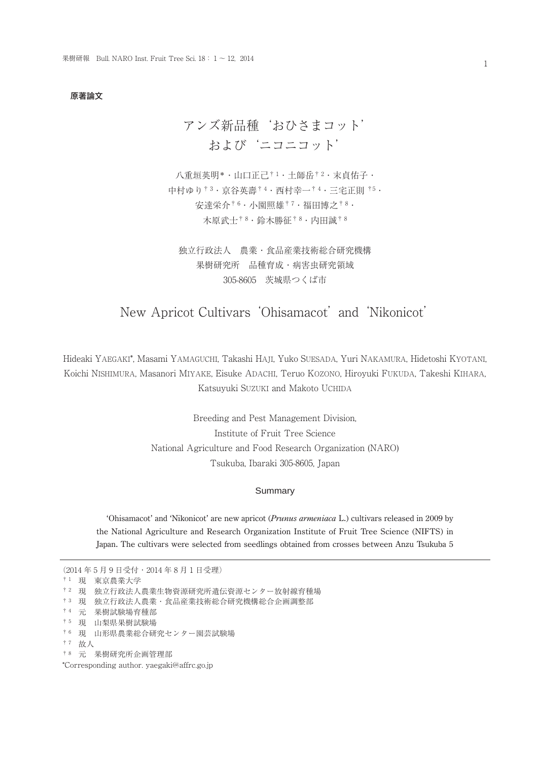#### 原著論文

# アンズ新品種'おひさまコット' および'ニコニコット'

八重垣英明\* · 山口正己<sup>† 1</sup> · 土師岳<sup>† 2</sup> · 末貞佑子 · 中村ゆり† 3・京谷英壽† 4・西村幸一† 4・三宅正則 †5・ 安達栄介† 6・小園照雄† 7・福田博之† 8・ 木原武士† 8・鈴木勝征† 8・内田誠† 8

独立行政法人 農業・食品産業技術総合研究機構 果樹研究所 品種育成・病害虫研究領域 305-8605 茨城県つくば市

# New Apricot Cultivars 'Ohisamacot' and 'Nikonicot'

Hideaki YAEGAKI\*, Masami YAMAGUCHI, Takashi HAJI, Yuko SUESADA, Yuri NAKAMURA, Hidetoshi KYOTANI, Koichi NISHIMURA, Masanori MIYAKE, Eisuke ADACHI, Teruo KOZONO, Hiroyuki FUKUDA, Takeshi KIHARA, Katsuyuki SUZUKI and Makoto UCHIDA

> Breeding and Pest Management Division, Institute of Fruit Tree Science National Agriculture and Food Research Organization (NARO) Tsukuba, Ibaraki 305-8605, Japan

# Summary

'Ohisamacot' and 'Nikonicot' are new apricot (*Prunus armeniaca* L.) cultivars released in 2009 by the National Agriculture and Research Organization Institute of Fruit Tree Science (NIFTS) in Japan. The cultivars were selected from seedlings obtained from crosses between Anzu Tsukuba 5

```
(2014年5月9 日受付・2014年8月1 日受理)
† 1 現 東京農業大学
† 2 現 独立行政法人農業生物資源研究所遺伝資源センター放射線育種場
† 3 現 独立行政法人農業・食品産業技術総合研究機構総合企画調整部
† 4 元 果樹試験場育種部
† 5 現 山梨県果樹試験場
† 6 現 山形県農業総合研究センター園芸試験場
† 7 故人 
† 8 元 果樹研究所企画管理部
*Corresponding author. yaegaki@affrc.go.jp
```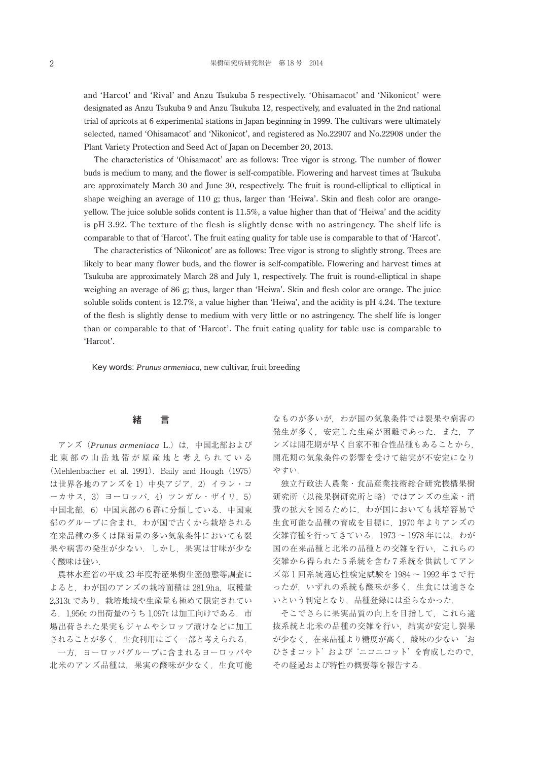and 'Harcot' and 'Rival' and Anzu Tsukuba 5 respectively. 'Ohisamacot' and 'Nikonicot' were designated as Anzu Tsukuba 9 and Anzu Tsukuba 12, respectively, and evaluated in the 2nd national trial of apricots at 6 experimental stations in Japan beginning in 1999. The cultivars were ultimately selected, named 'Ohisamacot' and 'Nikonicot', and registered as No.22907 and No.22908 under the Plant Variety Protection and Seed Act of Japan on December 20, 2013.

The characteristics of 'Ohisamacot' are as follows: Tree vigor is strong. The number of flower buds is medium to many, and the flower is self-compatible. Flowering and harvest times at Tsukuba are approximately March 30 and June 30, respectively. The fruit is round-elliptical to elliptical in shape weighing an average of 110 g; thus, larger than 'Heiwa'. Skin and flesh color are orangeyellow. The juice soluble solids content is 11.5%, a value higher than that of 'Heiwa' and the acidity is pH 3.92. The texture of the flesh is slightly dense with no astringency. The shelf life is comparable to that of 'Harcot'. The fruit eating quality for table use is comparable to that of 'Harcot'.

The characteristics of 'Nikonicot' are as follows: Tree vigor is strong to slightly strong. Trees are likely to bear many flower buds, and the flower is self-compatible. Flowering and harvest times at Tsukuba are approximately March 28 and July 1, respectively. The fruit is round-elliptical in shape weighing an average of 86 g; thus, larger than 'Heiwa'. Skin and flesh color are orange. The juice soluble solids content is 12.7%, a value higher than 'Heiwa', and the acidity is pH 4.24. The texture of the flesh is slightly dense to medium with very little or no astringency. The shelf life is longer than or comparable to that of 'Harcot'. The fruit eating quality for table use is comparable to 'Harcot'.

Key words: *Prunus armeniaca*, new cultivar, fruit breeding

# 緒 言

アンズ(*Prunus armeniaca* L.)は,中国北部および 北東部の山岳地帯が原産地と考えられている (Mehlenbacher et al. 1991). Baily and Hough (1975) は世界各地のアンズを1)中央アジア, 2)イラン・コ ーカサス,3)ヨーロッパ,4)ツンガル・ザイリ,5) 中国北部, 6)中国東部の 6 群に分類している. 中国東 部のグループに含まれ,わが国で古くから栽培される 在来品種の多くは降雨量の多い気象条件においても裂 果や病害の発生が少ない. しかし、果実は甘味が少な く酸味は強い.

農林水産省の平成 23 年度特産果樹生産動態等調査に よると、わが国のアンズの栽培面積は 281.9ha, 収穫量 2,313t であり、栽培地域や生産量も極めて限定されてい る.1,956t の出荷量のうち 1,097t は加工向けである.市 場出荷された果実もジャムやシロップ漬けなどに加工 されることが多く、生食利用はごく一部と考えられる.

一方,ヨーロッパグループに含まれるヨーロッパや 北米のアンズ品種は,果実の酸味が少なく,生食可能 なものが多いが,わが国の気象条件では裂果や病害の 発生が多く、安定した生産が困難であった. また、ア ンズは開花期が早く自家不和合性品種もあることから, 開花期の気象条件の影響を受けて結実が不安定になり やすい.

独立行政法人農業・食品産業技術総合研究機構果樹 研究所(以後果樹研究所と略)ではアンズの生産・消 費の拡大を図るために,わが国においても栽培容易で 生食可能な品種の育成を目標に,1970 年よりアンズの 交雑育種を行ってきている.1973 ~ 1978 年には,わが 国の在来品種と北米の品種との交雑を行い,これらの 交雑から得られた 5 系統を含む 7 系統を供試してアン ズ第 1 回系統適応性検定試験を 1984 ~ 1992 年まで行 ったが,いずれの系統も酸味が多く,生食には適さな いという判定となり,品種登録には至らなかった.

そこでさらに果実品質の向上を目指して,これら選 抜系統と北米の品種の交雑を行い,結実が安定し裂果 が少なく,在来品種より糖度が高く,酸味の少ない'お ひさまコット'および'ニコニコット'を育成したので, その経過および特性の概要等を報告する.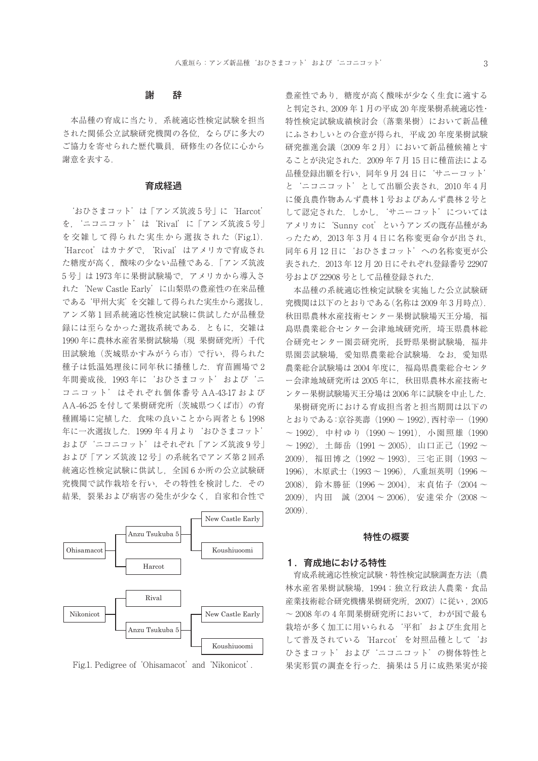# 謝 辞

本品種の育成に当たり,系統適応性検定試験を担当 された関係公立試験研究機関の各位,ならびに多大の ご協力を寄せられた歴代職員,研修生の各位に心から 謝意を表する.

# 育成経過

'おひさまコット'は「アンズ筑波 5 号」に'Harcot' を,'ニコニコット'は'Rival'に「アンズ筑波 5 号」 を交雑して得られた実生から選抜された(Fig.1). 'Harcot'はカナダで,'Rival'はアメリカで育成され た糖度が高く,酸味の少ない品種である.「アンズ筑波 5 号」は 1973 年に果樹試験場で,アメリカから導入さ れた'New Castle Early'に山梨県の豊産性の在来品種 である'甲州大実'を交雑して得られた実生から選抜し, アンズ第 1 回系統適応性検定試験に供試したが品種登 録には至らなかった選抜系統である. ともに、交雑は 1990 年に農林水産省果樹試験場(現 果樹研究所)千代 田試験地(茨城県かすみがうら市)で行い,得られた 種子は低温処理後に同年秋に播種した.育苗圃場で 2 年間養成後,1993 年に'おひさまコット'および'ニ コニコット'はそれぞれ個体番号 AA-43-17 および AA-46-25 を付して果樹研究所 (茨城県つくば市)の育 種圃場に定植した.食味の良いことから両者とも 1998 年に一次選抜した 1999年4月より'おひさまコット' および'ニコニコット'はそれぞれ「アンズ筑波 9 号」 および「アンズ筑波 12 号」の系統名でアンズ第 2 回系 統適応性検定試験に供試し、全国 6 か所の公立試験研 究機関で試作栽培を行い,その特性を検討した.その 結果,裂果および病害の発生が少なく,自家和合性で



Fig.1. Pedigree of 'Ohisamacot' and 'Nikonicot'.

豊産性であり,糖度が高く酸味が少なく生食に適する と判定され,2009 年 1 月の平成 20 年度果樹系統適応性・ 特性検定試験成績検討会(落葉果樹)において新品種 にふさわしいとの合意が得られ,平成 20 年度果樹試験 研究推准会議(2009年2月)において新品種候補とす ることが決定された.2009 年 7 月 15 日に種苗法による 品種登録出願を行い,同年 9 月 24 日に'サニーコット' と'ニコニコット'として出願公表され,2010年4月 に優良農作物あんず農林 1 号およびあんず農林 2 号と して認定された.しかし,'サニーコット'については アメリカに'Sunny cot'というアンズの既存品種があ ったため, 2013 年 3 月 4 日に名称変更命令が出され, 同年 6 月 12 日に'おひさまコット'への名称変更が公 表された.2013 年 12 月 20 日にそれぞれ登録番号 22907 号および 22908 号として品種登録された.

本品種の系統適応性検定試験を実施した公立試験研 究機関は以下のとおりである(名称は 2009 年 3 月時点). 秋田県農林水産技術センター果樹試験場天王分場、福 島県農業総合センター会津地域研究所、埼玉県農林総 合研究センター園芸研究所,長野県果樹試験場,福井 県園芸試験場、愛知県農業総合試験場、なお、愛知県 農業総合試験場は 2004 年度に、福島県農業総合センタ ー会津地域研究所は 2005 年に,秋田県農林水産技術セ ンター果樹試験場天王分場は 2006 年に試験を中止した.

果樹研究所における育成担当者と担当期間は以下の とおりである:京谷英壽(1990 ~ 1992),西村幸一(1990 ~ 1992), 中村ゆり (1990~1991), 小園照雄(1990  $\sim$  1992), 土師岳 (1991  $\sim$  2005), 山口正己 (1992  $\sim$ 2009),福田博之(1992 ~ 1993),三宅正則(1993 ~ 1996), 木原武士 (1993~1996), 八重垣英明 (1996~ 2008),鈴木勝征(1996 ~ 2004),末貞佑子(2004 ~ 2009),内田 誠(2004 ~ 2006),安達栄介(2008 ~ 2009).

#### 特性の概要

#### 1.育成地における特性

育成系統適応性検定試験・特性検定試験調査方法(農 林水産省果樹試験場,1994;独立行政法人農業・食品 産業技術総合研究機構果樹研究所,2007)に従い , 2005  $\sim$  2008年の4年間果樹研究所において、わが国で最も 栽培が多く加工に用いられる'平和'および生食用と して普及されている'Harcot'を対照品種として'お ひさまコット'および'ニコニコット'の樹体特性と 果実形質の調査を行った. 摘果は5月に成熟果実が接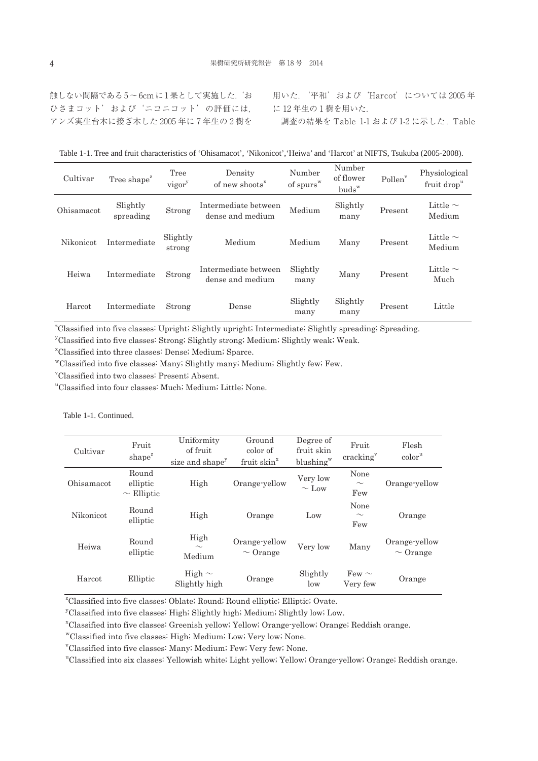触しない間隔である5~6cmに1果として実施した.'お ひさまコット'および'ニコニコット'の評価には, アンズ実生台木に接ぎ木した 2005 年に 7 年生の 2 樹を 用いた.'平和'および'Harcot'については 2005 年 に 12 年生の 1 樹を用いた. 調査の結果を Table 1-1 および 1-2 に示した . Table

Table 1-1. Tree and fruit characteristics of 'Ohisamacot', 'Nikonicot','Heiwa' and 'Harcot' at NIFTS, Tsukuba (2005-2008).

| Cultivar         | Tree shape <sup>z</sup> | Tree<br>vigor      | Density<br>of new shoots <sup>x</sup>    | Number<br>of spurs <sup>w</sup> | Number<br>of flower<br>$buds^w$ | Pollen <sup>v</sup> | Physiological<br>fruit drop <sup>u</sup> |
|------------------|-------------------------|--------------------|------------------------------------------|---------------------------------|---------------------------------|---------------------|------------------------------------------|
| Ohisamacot       | Slightly<br>spreading   | Strong             | Intermediate between<br>dense and medium | Medium                          | Slightly<br>many                | Present             | Little $\sim$<br>Medium                  |
| <b>Nikonicot</b> | Intermediate            | Slightly<br>strong | Medium                                   | Medium                          | Many                            | Present             | Little $\sim$<br>Medium                  |
| Heiwa            | Intermediate            | Strong             | Intermediate between<br>dense and medium | Slightly<br>many                | Many                            | Present             | Little $\sim$<br>Much                    |
| Harcot           | Intermediate            | Strong             | Dense                                    | Slightly<br>many                | Slightly<br>many                | Present             | Little                                   |

z Classified into five classes: Upright; Slightly upright; Intermediate; Slightly spreading; Spreading.

y Classified into five classes: Strong; Slightly strong; Medium; Slightly weak; Weak.

x Classified into three classes: Dense; Medium; Sparce.

wClassified into five classes: Many; Slightly many; Medium; Slightly few; Few.

v Classified into two classes: Present; Absent.

u Classified into four classes: Much; Medium; Little; None.

| Cultivar   | Fruit<br>$shape^z$                   | Uniformity<br>of fruit<br>size and shape <sup>y</sup> | Ground<br>color of<br>fruit skin <sup>x</sup> | Degree of<br>fruit skin<br>blushing <sup>w</sup> | Fruit<br>cracking <sup>v</sup> | Flesh<br>color <sup>u</sup>    |
|------------|--------------------------------------|-------------------------------------------------------|-----------------------------------------------|--------------------------------------------------|--------------------------------|--------------------------------|
| Ohisamacot | Round<br>elliptic<br>$\sim$ Elliptic | High                                                  | Orange-yellow                                 | Very low<br>$\sim$ Low                           | None<br>$\sim$<br>Few          | Orange-yellow                  |
| Nikonicot  | Round<br>elliptic                    | High                                                  | Orange                                        | Low                                              | None<br>$\sim$<br>Few          | Orange                         |
| Heiwa      | Round<br>elliptic                    | High<br>$\sim$<br>Medium                              | Orange-yellow<br>$\sim$ Orange                | Very low                                         | Many                           | Orange-yellow<br>$\sim$ Orange |
| Harcot     | Elliptic                             | High $\sim$<br>Slightly high                          | Orange                                        | Slightly<br>low                                  | Few $\sim$<br>Very few         | Orange                         |

z Classified into five classes: Oblate; Round; Round elliptic; Elliptic; Ovate.

y Classified into five classes: High; Slightly high; Medium; Slightly low; Low.

x Classified into five classes: Greenish yellow; Yellow; Orange-yellow; Orange; Reddish orange.

wClassified into five classes: High; Medium; Low; Very low; None.

v Classified into five classes: Many; Medium; Few; Very few; None.

u Classified into six classes: Yellowish white; Light yellow; Yellow; Orange-yellow; Orange; Reddish orange.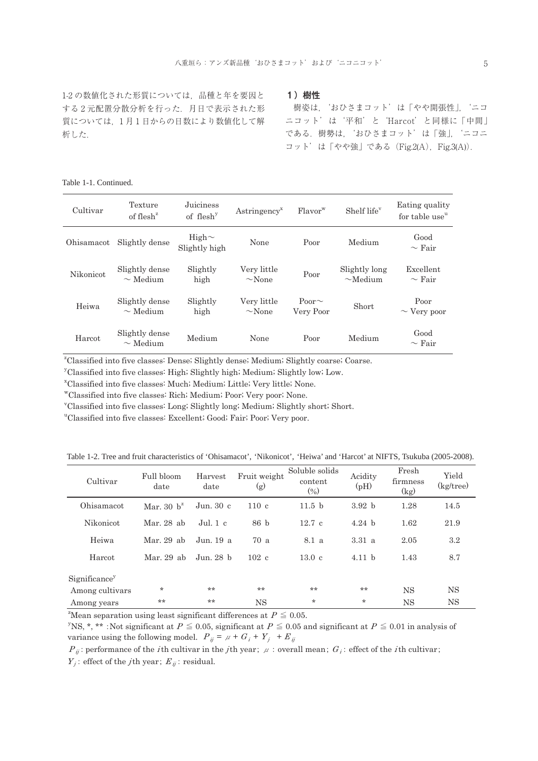1-2 の数値化された形質については,品種と年を要因と する 2 元配置分散分析を行った.月日で表示された形 質については、1月1日からの日数により数値化して解 析した.

#### 1)樹性

 樹姿は,'おひさまコット'は「やや開張性」,'ニコ ニコット'は'平和'と'Harcot'と同様に「中間」 である.樹勢は,'おひさまコット'は「強」,'ニコニ コット'は「やや強」である (Fig.2(A), Fig.3(A)).

## Table 1-1. Continued.

| Cultivar   | Texture<br>of flesh <sup><math>z</math></sup> | Juiciness<br>of $f$ lesh <sup>y</sup> | Astringency <sup>x</sup>   | Flavor <sup>w</sup>      | Shelf life <sup>v</sup>        | Eating quality<br>for table use <sup>u</sup> |
|------------|-----------------------------------------------|---------------------------------------|----------------------------|--------------------------|--------------------------------|----------------------------------------------|
| Ohisamacot | Slightly dense                                | High $\sim$<br>Slightly high          | None                       | Poor                     | Medium                         | Good<br>$\sim$ Fair                          |
| Nikonicot  | Slightly dense<br>$\sim$ Medium               | Slightly<br>high                      | Very little<br>$\sim$ None | Poor                     | Slightly long<br>$\sim$ Medium | Excellent<br>$\sim$ Fair                     |
| Heiwa      | Slightly dense<br>$\sim$ Medium               | Slightly<br>high                      | Very little<br>$\sim$ None | Poor $\sim$<br>Very Poor | Short                          | Poor<br>$\sim$ Very poor                     |
| Harcot     | Slightly dense<br>$\sim$ Medium               | Medium                                | None                       | Poor                     | Medium                         | Good<br>$\sim$ Fair                          |

z Classified into five classes: Dense; Slightly dense; Medium; Slightly coarse; Coarse.

y Classified into five classes: High; Slightly high; Medium; Slightly low; Low.

x Classified into five classes: Much; Medium; Little; Very little; None.

wClassified into five classes: Rich; Medium; Poor; Very poor; None.

v Classified into five classes: Long; Slightly long; Medium; Slightly short; Short.

u Classified into five classes: Excellent; Good; Fair; Poor; Very poor.

Table 1-2. Tree and fruit characteristics of 'Ohisamacot', 'Nikonicot', 'Heiwa' and 'Harcot' at NIFTS, Tsukuba (2005-2008).

| Cultivar                  | Full bloom<br>date | Harvest<br>date         | Fruit weight<br>(g) | Soluble solids<br>content<br>$(\%)$ | Acidity<br>(pH)   | Fresh<br>firmness<br>(kg) | Yield<br>$(kg$ tree) |
|---------------------------|--------------------|-------------------------|---------------------|-------------------------------------|-------------------|---------------------------|----------------------|
| Ohisamacot                | Mar. 30 $h^z$      | $\rm{Jun.}$ 30 $\rm{c}$ | 110c                | 11.5 <sub>b</sub>                   | 3.92 <sub>b</sub> | 1.28                      | 14.5                 |
| Nikonicot                 | Mar. 28 ab         | Jul. 1 c                | 86 b                | 12.7c                               | 4.24 h            | 1.62                      | 21.9                 |
| Heiwa                     | Mar. 29 ab         | Jun. 19 a               | 70a                 | 8.1 a                               | 3.31a             | 2.05                      | $3.2\,$              |
| Harcot                    | Mar. 29 ab         | Jun. 28 h               | $102\text{ c}$      | 13.0 <sub>c</sub>                   | 4.11 <sub>b</sub> | 1.43                      | 8.7                  |
| Significance <sup>y</sup> |                    |                         |                     |                                     |                   |                           |                      |
| Among cultivars           | $\star$            | $**$                    | $**$                | **                                  | **                | <b>NS</b>                 | NS                   |
| Among years               | **                 | **                      | NS                  | $\ast$                              | $\star$           | <b>NS</b>                 | <b>NS</b>            |

<sup>2</sup>Mean separation using least significant differences at  $P \leq 0.05$ .

<sup>y</sup>NS, \*, \*\* :Not significant at  $P \le 0.05$ , significant at  $P \le 0.05$  and significant at  $P \le 0.01$  in analysis of variance using the following model.  $P_{ij} = \mu + G_i + Y_j + E_{ij}$ 

 $P_{ii}$ : performance of the *i*th cultivar in the *j*th year;  $\mu$ : overall mean;  $G_i$ : effect of the *i*th cultivar;

 $Y_i$ : effect of the *j*th year;  $E_{ii}$ : residual.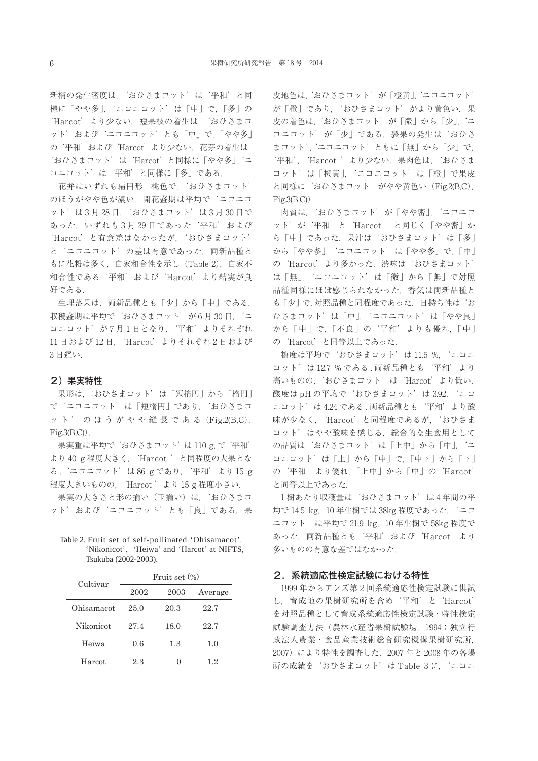新梢の発生密度は,'おひさまコット'は'平和'と同 様に「やや多」, 'ニコニコット'は「中」で,「多」の 'Harcot' より少ない. 短果枝の着生は、'おひさまコ ット'および'ニコニコット'とも「中」で,「やや多」 の'平和'および'Harcot'より少ない.花芽の着生は, 'おひさまコット'は'Harcot'と同様に「やや多」,'ニ コニコット'は'平和'と同様に「多」である.

 花弁はいずれも扁円形,桃色で,'おひさまコット' のほうがやや色が濃い.開花盛期は平均で'ニコニコ ット'は 3 月 28 日,'おひさまコット'は 3 月 30 日で あった.いずれも 3 月 29 日であった'平和'および 'Harcot'と有意差はなかったが,'おひさまコット' と'ニコニコット'の差は有意であった.両新品種と もに花粉は多く,自家和合性を示し(Table 2),自家不 和合性である'平和'および'Harcot'より結実が良 好である.

生理落果は、両新品種とも「少」から「中」である. 収穫盛期は平均で'おひさまコット'が6月30日, 'ニ コニコット'が7月1日となり、'平和'よりそれぞれ 11 日および 12 日, 'Harcot' よりそれぞれ 2 日および 3 日遅い.

#### 2)果実特性

 果形は,'おひさまコット'は「短楕円」から「楕円」 で'ニコニコット'は「短楕円」であり,'おひさまコ ット'のほうがやや縦長である (Fig.2(B,C),  $Fig.3(B,C)$ .

果実重は平均で おひさまコット' は 110 g, で '平和' より 40 g 程度大きく,'Harcot 'と同程度の大果とな る .'ニコニコット'は 86 g であり,'平和'より 15 g 程度大きいものの,'Harcot 'より 15 g 程度小さい.

果実の大きさと形の揃い(玉揃い)は,'おひさまコ ット'および'ニコニコット'とも「良」である. 果

| Table 2. Fruit set of self-pollinated 'Ohisamacot', |                                             |
|-----------------------------------------------------|---------------------------------------------|
|                                                     | 'Nikonicot'. 'Heiwa' and 'Harcot' at NIFTS. |
| Tsukuba (2002-2003).                                |                                             |

| Cultivar   | Fruit set $(\% )$ |      |         |  |  |  |
|------------|-------------------|------|---------|--|--|--|
|            | 2002              | 2003 | Average |  |  |  |
| Ohisamacot | 25.0              | 20.3 | 22.7    |  |  |  |
| Nikonicot  | 27.4              | 18.0 | 22.7    |  |  |  |
| Heiwa      | 0.6               | 1.3  | 1.0     |  |  |  |
| Harcot.    | 2.3               |      | 1.2     |  |  |  |

皮地色は,'おひさまコット'が「橙黄」,'ニコニコット' が「橙」であり、'おひさまコット'がより黄色い. 果 皮の着色は,'おひさまコット'が「微」から「少」,'ニ コニコット'が「少」である. 裂果の発生は'おひさ まコット','ニコニコット'ともに「無」から「少」で, '平和','Harcot 'より少ない.果肉色は,'おひさま コット'は「橙黄」,'ニコニコット'は「橙」で果皮 と同様に'おひさまコット'がやや黄色い(Fig.2(B,C),  $Fig.3(B,C)$ .

肉質は, 'おひさまコット' が「やや密」, 'ニコニコ ット'が'平和'と'Harcot 'と同じく「やや密」か ら「中」であった.果汁は'おひさまコット'は「多」 から「やや多」,'ニコニコット'は「やや多」で,「中」 の'Harcot'より多かった.渋味は'おひさまコット' は「無」,'ニコニコット'は「微」から「無」で対照 品種同様にほぼ感じられなかった.香気は両新品種と も「少」で,対照品種と同程度であった.日持ち性は'お ひさまコット'は「中」,'ニコニコット'は「やや良」 から「中」で,「不良」の'平和'よりも優れ,「中」 の'Harcot'と同等以上であった.

糖度は平均で'おひさまコット'は 11.5 %,'ニコニ コット'は 12.7 % である . 両新品種とも'平和'より 高いものの,'おひさまコット'は'Harcot'より低い. 酸度は pH の平均で'おひさまコット'は 3.92, 'ニコ ニコット'は 4.24 である. 両新品種とも '平和'より酸 味が少なく,'Harcot'と同程度であるが,'おひさま コット'はやや酸味を感じる. 総合的な生食用として の品質は'おひさまコット'は「上中」から「中」,'ニ コニコット'は「上」から「中」で,「中下」から「下」 の'平和'より優れ,「上中」から「中」の'Harcot' と同等以上であった.

1樹あたり収穫量は'おひさまコット'は4年間の平 均で 14.5 kg,10 年生樹では 38kg 程度であった.'ニコ ニコット'は平均で 21.9 kg, 10 年生樹で 58kg 程度で あった.両新品種とも'平和'および'Harcot'より 多いものの有意な差ではなかった.

#### 2.系統適応性検定試験における特性

1999 年からアンズ第2回系統適応性検定試験に供試 し,育成地の果樹研究所を含め'平和'と'Harcot' を対照品種として育成系統適応性検定試験・特性検定 試験調査方法(農林水産省果樹試験場,1994;独立行 政法人農業・食品産業技術総合研究機構果樹研究所, 2007)により特性を調査した.2007 年と 2008 年の各場 所の成績を'おひさまコット'は Table 3 に,'ニコニ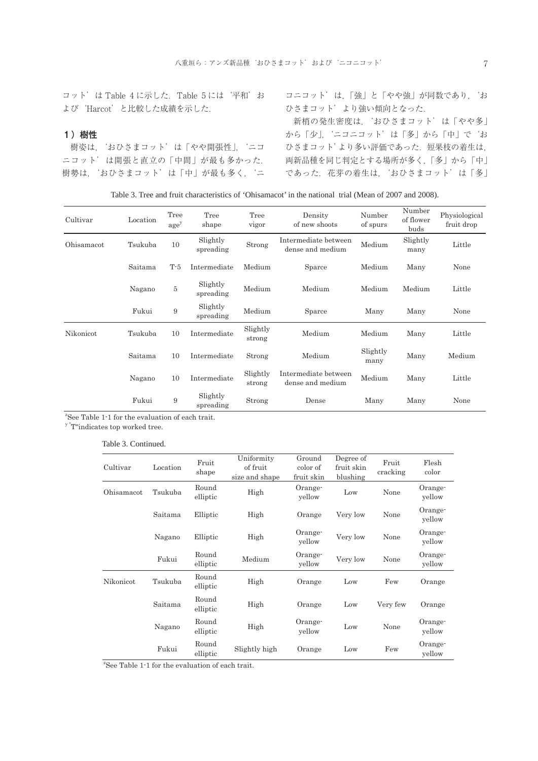コット'は Table 4 に示した.Table 5 には'平和'お よび'Harcot'と比較した成績を示した.

# 1)樹性

樹姿は,'おひさまコット'は「やや開張性」,'ニコ ニコット'は開張と直立の「中間」が最も多かった. 樹勢は,'おひさまコット'は「中」が最も多く,'ニ コニコット'は,「強」と「やや強」が同数であり,'お ひさまコット'より強い傾向となった.

新梢の発生密度は,'おひさまコット'は「やや多」 から「少」,'ニコニコット'は「多」から「中」で'お ひさまコット'より多い評価であった.短果枝の着生は, 両新品種を同じ判定とする場所が多く,「多」から「中」 であった. 花芽の着生は、'おひさまコット'は「多」

| Table 3. Tree and fruit characteristics of 'Ohisamacot' in the national trial (Mean of 2007 and 2008). |  |  |
|--------------------------------------------------------------------------------------------------------|--|--|
|--------------------------------------------------------------------------------------------------------|--|--|

| Cultivar   | Location | Tree<br>age <sup>y</sup> | Tree<br>shape         | Tree<br>vigor      | Density<br>of new shoots                           | Number<br>of spurs | Number<br>of flower<br>buds | Physiological<br>fruit drop |
|------------|----------|--------------------------|-----------------------|--------------------|----------------------------------------------------|--------------------|-----------------------------|-----------------------------|
| Ohisamacot | Tsukuba  | 10                       | Slightly<br>spreading | Strong             | Intermediate between<br>Medium<br>dense and medium |                    | Slightly<br>many            | Little                      |
|            | Saitama  | $T-5$                    | Intermediate          | Medium             | Sparce                                             | Medium             | Many                        | None                        |
|            | Nagano   | $\bf 5$                  | Slightly<br>spreading | Medium             | Medium                                             | Medium             | Medium                      | Little                      |
|            | Fukui    | 9                        | Slightly<br>spreading | Medium             | Sparce                                             | Many               | Many                        | None                        |
| Nikonicot  | Tsukuba  | 10                       | Intermediate          | Slightly<br>strong | Medium                                             | Medium             | Many                        | Little                      |
|            | Saitama  | 10                       | Intermediate          | Strong             | Medium                                             | Slightly<br>many   | Many                        | Medium                      |
|            | Nagano   | 10                       | Intermediate          | Slightly<br>strong | Intermediate between<br>dense and medium           | Medium             | Many                        | Little                      |
|            | Fukui    | 9                        | Slightly<br>spreading | Strong             | Dense                                              | Many               | Many                        | None                        |

<sup>2</sup>See Table 1-1 for the evaluation of each trait.

y "T"indicates top worked tree.

#### Table 3. Continued.

| Cultivar   | Location | Fruit<br>shape    | Uniformity<br>of fruit<br>size and shape | Ground<br>color of<br>fruit skin | Degree of<br>fruit skin<br>blushing | Fruit<br>cracking | Flesh<br>color    |
|------------|----------|-------------------|------------------------------------------|----------------------------------|-------------------------------------|-------------------|-------------------|
| Ohisamacot | Tsukuba  | Round<br>elliptic | High                                     | Orange-<br>yellow                | Low                                 | None              | Orange-<br>yellow |
|            | Saitama  | Elliptic          | High                                     | Orange                           | Very low                            | None              | Orange-<br>yellow |
|            | Nagano   | Elliptic          | High                                     | Orange-<br>yellow                | Very low                            | None              | Orange-<br>yellow |
|            | Fukui    | Round<br>elliptic | Medium                                   | Orange-<br>yellow                | Very low                            | None              | Orange-<br>yellow |
| Nikonicot  | Tsukuba  | Round<br>elliptic | High                                     | Orange                           | Low                                 | Few               | Orange            |
|            | Saitama  | Round<br>elliptic | High                                     | Orange                           | Low                                 | Very few          | Orange            |
|            | Nagano   | Round<br>elliptic | High                                     | Orange-<br>yellow                | Low                                 | None              | Orange-<br>yellow |
|            | Fukui    | Round<br>elliptic | Slightly high                            | Orange                           | Low                                 | Few               | Orange-<br>yellow |

<sup>2</sup>See Table 1<sup>-1</sup> for the evaluation of each trait.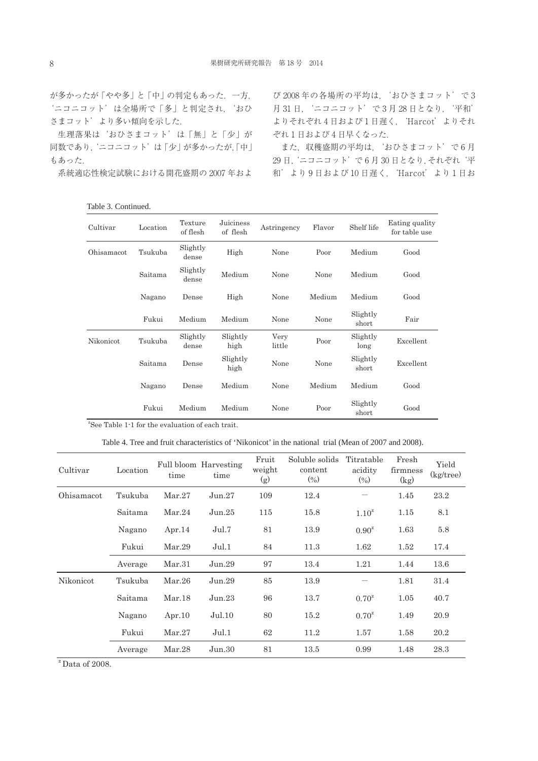が多かったが「やや多」と「中」の判定もあった.一方, 'ニコニコット'は全場所で「多」と判定され,'おひ さまコット'より多い傾向を示した.

生理落果は'おひさまコット'は「無」と「少」が 同数であり,'ニコニコット'は「少」が多かったが,「中」 もあった.

系統適応性検定試験における開花盛期の 2007 年およ

Table 3. Continued.

び 2008 年の各場所の平均は,'おひさまコット'で 3 月 31 日,'ニコニコット'で 3 月 28 日となり,'平和' よりそれぞれ 4 日および 1 日遅く,'Harcot'よりそれ ぞれ 1 日および 4 日早くなった.

また、収穫盛期の平均は、'おひさまコット'で6月 29 日,'ニコニコット'で 6 月 30 日となり,それぞれ'平 和'より 9 日および 10 日遅く,'Harcot'より 1 日お

| Cultivar   | Location | Texture<br>of flesh | Juiciness<br>of flesh | Astringency    | Flavor | Shelf life        | Eating quality<br>for table use |
|------------|----------|---------------------|-----------------------|----------------|--------|-------------------|---------------------------------|
| Ohisamacot | Tsukuba  | Slightly<br>dense   | High                  | None           | Poor   | Medium            | Good                            |
|            | Saitama  | Slightly<br>dense   | Medium                | None           | None   | Medium            | Good                            |
|            | Nagano   | Dense               | High                  | None           | Medium | Medium            | Good                            |
|            | Fukui    | Medium              | Medium                | None           | None   | Slightly<br>short | Fair                            |
| Nikonicot  | Tsukuba  | Slightly<br>dense   | Slightly<br>high      | Very<br>little | Poor   | Slightly<br>long  | Excellent                       |
|            | Saitama  | Dense               | Slightly<br>high      | None           | None   | Slightly<br>short | Excellent                       |
|            | Nagano   | Dense               | Medium                | None           | Medium | Medium            | Good                            |
|            | Fukui    | Medium              | Medium                | None           | Poor   | Slightly<br>short | Good                            |

<sup>2</sup>See Table 1<sup>-1</sup> for the evaluation of each trait.

Table 4. Tree and fruit characteristics of 'Nikonicot' in the national trial (Mean of 2007 and 2008).

| Cultivar   | Location | time      | Full bloom Harvesting<br>time | Fruit<br>weight<br>(g) | Soluble solids<br>content<br>$(\% )$ | Titratable<br>acidity<br>$(\% )$ | Fresh<br>firmness<br>(kg) | Yield<br>$(kg$ tree) |
|------------|----------|-----------|-------------------------------|------------------------|--------------------------------------|----------------------------------|---------------------------|----------------------|
| Ohisamacot | Tsukuba  | Mar.27    | Jun.27                        | 109                    | 12.4                                 |                                  | 1.45                      | 23.2                 |
|            | Saitama  | Mar.24    | Jun.25                        | 115                    | 15.8                                 | $1.10^{2}$                       | 1.15                      | 8.1                  |
|            | Nagano   | Apr. $14$ | Jul.7                         | 81                     | 13.9                                 | $0.90^{\rm z}$                   | 1.63                      | 5.8                  |
|            | Fukui    | Mar.29    | Jul.1                         | 84                     | 11.3                                 | 1.62                             | 1.52                      | 17.4                 |
|            | Average  | Mar.31    | Jun.29                        | 97                     | 13.4                                 | 1.21                             | 1.44                      | 13.6                 |
| Nikonicot  | Tsukuba  | Mar.26    | Jun.29                        | 85                     | 13.9                                 |                                  | 1.81                      | 31.4                 |
|            | Saitama  | Mar.18    | Jun.23                        | 96                     | 13.7                                 | $0.70^{\rm z}$                   | 1.05                      | 40.7                 |
|            | Nagano   | Apr. $10$ | Jul.10                        | 80                     | 15.2                                 | $0.70^{\rm z}$                   | 1.49                      | 20.9                 |
|            | Fukui    | Mar.27    | Jul.1                         | 62                     | 11.2                                 | 1.57                             | 1.58                      | 20.2                 |
|            | Average  | Mar.28    | Jun.30                        | 81                     | 13.5                                 | 0.99                             | 1.48                      | 28.3                 |

 $\overline{Z}$  Data of 2008.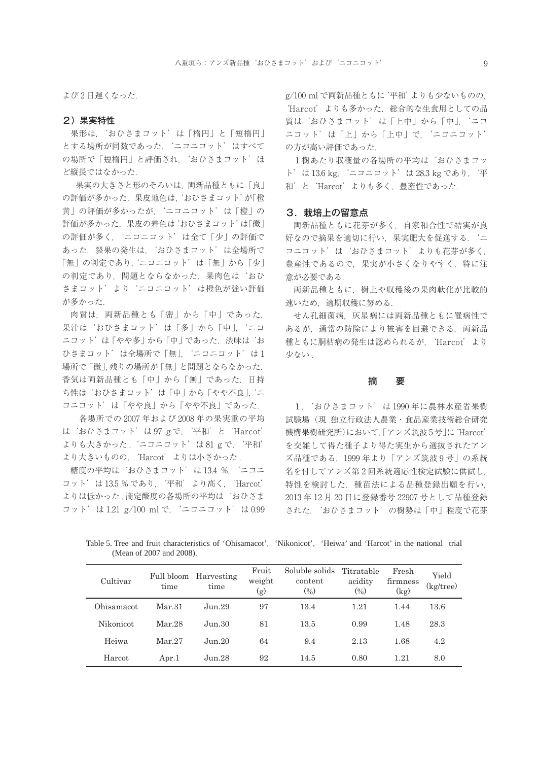よび 2 日遅くなった.

#### 2)果実特性

果形は,'おひさまコット'は「楕円」と「短楕円」 とする場所が同数であった.'ニコニコット'はすべて の場所で「短楕円」と評価され, 'おひさまコット' ほ ど縦長ではなかった.

 果実の大きさと形のそろいは,両新品種ともに「良」 の評価が多かった. 果皮地色は、おひさまコット'が「橙 黄」の評価が多かったが,'ニコニコット'は「橙」の 評価が多かった. 果皮の着色は おひさまコット'は「微」 の評価が多く,'ニコニコット'は全て「少」の評価で あった.裂果の発生は,'おひさまコット'は全場所で 「無」の判定であり,'ニコニコット'は「無」から「少」 の判定であり、問題とならなかった. 果肉色は'おひ さまコット'より'ニコニコット'は橙色が強い評価 が多かった.

肉質は、両新品種とも「密」から「中」であった. 果汁は'おひさまコット'は「多|から「中」, ニコ ニコット'は「やや多」から「中」であった. 渋味は お ひさまコット'は全場所で「無」, 'ニコニコット' は1 場所で「微」,残りの場所が「無」と問題とならなかった. 香気は両新品種とも「中」から「無」であった.日持 ち性は'おひさまコット'は「中」から「やや不良」,'ニ コニコット'は「やや良」から「やや不良」であった.

 各場所での 2007 年および 2008 年の果実重の平均 は'おひさまコット'は 97 g で,'平和'と'Harcot' よりも大きかった. 'ニコニコット' は 81 g で, '平和' より大きいものの,'Harcot'よりは小さかった .

糖度の平均は'おひさまコット'は 13.4 %,'ニコニ コット'は 13.5 % であり,'平和'より高く,'Harcot' よりは低かった. 滴定酸度の各場所の平均は'おひさま コット'は 1.21 g/100 ml で,'ニコニコット'は 0.99 g/100 ml で両新品種ともに'平和'よりも少ないものの, 'Harcot' よりも多かった. 総合的な生食用としての品 質は'おひさまコット'は「上中」から「中」, 'ニコ ニコット'は「上」から「上中」で,'ニコニコット' の方が高い評価であった.

1樹あたり収穫量の各場所の平均は'おひさまコッ ト'は 13.6 kg,'ニコニコット'は 28.3 kg であり,'平 和'と'Harcot'よりも多く,豊産性であった.

#### 3. 栽培上の留意点

両新品種ともに花芽が多く,自家和合性で結実が良 好なので摘果を適切に行い,果実肥大を促進する.'ニ コニコット'は'おひさまコット'よりも花芽が多く, 豊産性であるので,果実が小さくなりやすく,特に注 意が必要である.

両新品種ともに,樹上や収穫後の果肉軟化が比較的 速いため,適期収穫に努める.

せん孔細菌病,灰星病には両新品種ともに罹病性で あるが、通常の防除により被害を回避できる. 両新品 種ともに胴枯病の発生は認められるが,'Harcot'より 少ない.

#### 摘 要

1.'おひさまコット'は 1990 年に農林水産省果樹 試験場(現 独立行政法人農業・食品産業技術総合研究 機構果樹研究所)において,「アンズ筑波 5 号」に'Harcot' を交雑して得た種子より得た実生から選抜されたアン ズ品種である.1999 年より「アンズ筑波 9 号」の系統 名を付してアンズ第2回系統適応性検定試験に供試し, 特性を検討した. 種苗法による品種登録出願を行い, 2013 年 12 月 20 日に登録番号 22907 号として品種登録 された.'おひさまコット'の樹勢は「中」程度で花芽

Table 5. Tree and fruit characteristics of 'Ohisamacot', 'Nikonicot', 'Heiwa' and 'Harcot' in the national trial (Mean of 2007 and 2008).

| Cultivar   | Full bloom<br>time | Harvesting<br>time | Fruit<br>weight<br>(g) | Soluble solids<br>content<br>$\left(\% \right)$ | Titratable<br>acidity<br>$\left(\frac{0}{0}\right)$ | Fresh<br>firmness<br>(kg) | Yield<br>$(kg$ tree) |
|------------|--------------------|--------------------|------------------------|-------------------------------------------------|-----------------------------------------------------|---------------------------|----------------------|
| Ohisamacot | Mar.31             | Jun.29             | 97                     | 13.4                                            | 1.21                                                | 1.44                      | 13.6                 |
| Nikonicot  | Mar.28             | Jun.30             | 81                     | 13.5                                            | 0.99                                                | 1.48                      | 28.3                 |
| Heiwa      | Mar. 27            | Jun.20             | 64                     | 9.4                                             | 2.13                                                | 1.68                      | 4.2                  |
| Harcot     | Apr.1              | Jun.28             | 92                     | 14.5                                            | 0.80                                                | 1.21                      | 8.0                  |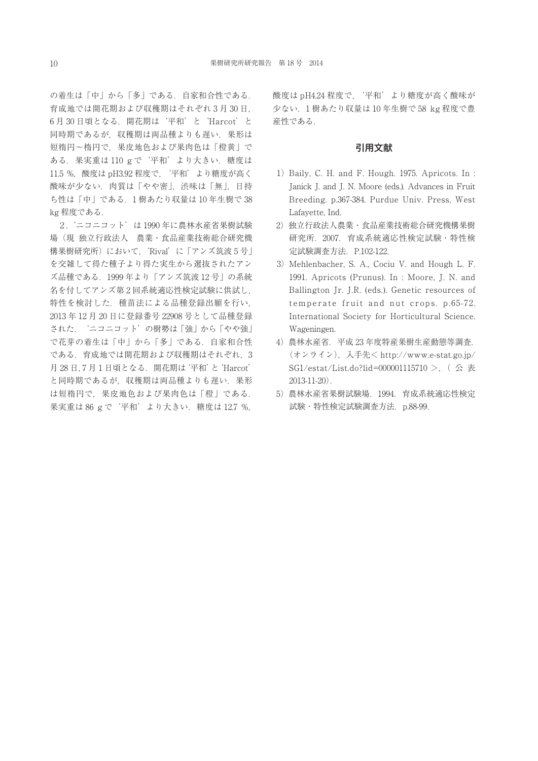の着生は「中」から「多」である. 自家和合性である. 育成地では開花期および収穫期はそれぞれ 3 月 30 日, 6 月 30 日頃となる.開花期は'平和'と'Harcot'と 同時期であるが,収穫期は両品種よりも遅い.果形は 短楕円~楕円で,果皮地色および果肉色は「橙黄」で ある.果実重は 110 g で'平和'より大きい.糖度は 11.5 %, 酸度は pH3.92 程度で, '平和'より糖度が高く 酸味が少ない. 肉質は「やや密」, 渋味は「無」,日持 ち性は「中」である.1 樹あたり収量は 10 年生樹で 38 kg 程度である.

2. 'ニコニコット'は 1990 年に農林水産省果樹試験 場(現 独立行政法人 農業・食品産業技術総合研究機 構果樹研究所)において,'Rival'に「アンズ筑波 5 号」 を交雑して得た種子より得た実生から選抜されたアン ズ品種である.1999 年より「アンズ筑波 12 号」の系統 名を付してアンズ第 2 回系統適応性検定試験に供試し, 特性を検討した. 種苗法による品種登録出願を行い, 2013 年 12 月 20 日に登録番号 22908 号として品種登録 された. 'ニコニコット'の樹勢は「強」から「やや強」 で花芽の着生は「中」から「多」である.自家和合性 である.育成地では開花期および収穫期はそれぞれ,3 月 28 日,7 月 1 日頃となる.開花期は'平和'と'Harcot' と同時期であるが,収穫期は両品種よりも遅い.果形 は短楕円で,果皮地色および果肉色は「橙」である. 果実重は 86 g で '平和' より大きい. 糖度は 12.7 %,

酸度は pH4.24 程度で、'平和'より糖度が高く酸味が 少ない.1 樹あたり収量は 10 年生樹で 58 kg 程度で豊 産性である.

# 引用文献

- 1) Baily, C. H. and F. Hough. 1975. Apricots. In : Janick J. and J. N. Moore (eds.). Advances in Fruit Breeding. p.367-384. Purdue Univ. Press, West Lafayette, Ind.
- 2)独立行政法人農業・食品産業技術総合研究機構果樹 研究所.2007.育成系統適応性検定試験・特性検 定試験調査方法.P.102-122.
- 3) Mehlenbacher, S. A., Cociu V. and Hough L. F. 1991. Apricots (Prunus). In : Moore, J. N. and Ballington Jr. J.R. (eds.). Genetic resources of temperate fruit and nut crops. p.65-72. International Society for Horticultural Science. Wageningen.
- 4)農林水産省.平成 23 年度特産果樹生産動態等調査. (オンライン),入手先< http://www.e-stat.go.jp/ SG1/estat/List.do?lid=000001115710 >, (公表 2013-11-20).
- 5)農林水産省果樹試験場.1994.育成系統適応性検定 試験・特性検定試験調査方法.p.88-99.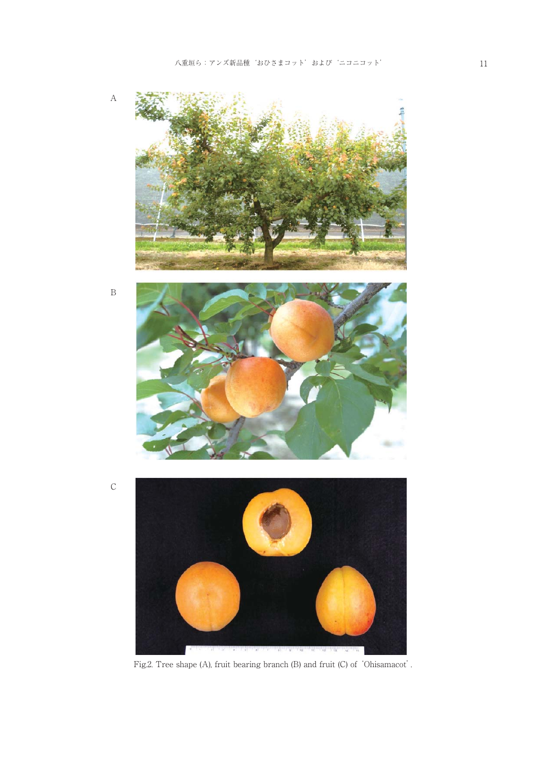

Fig.2. Tree shape (A), fruit bearing branch (B) and fruit (C) of 'Ohisamacot'.